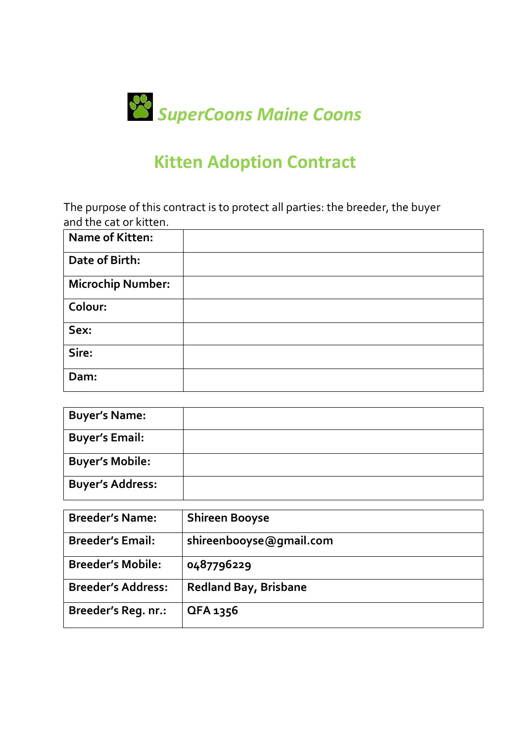

## **Kitten Adoption Contract**

The purpose of this contract is to protect all parties: the breeder, the buyer and the cat or kitten.

| Name of Kitten:          |  |
|--------------------------|--|
| Date of Birth:           |  |
| <b>Microchip Number:</b> |  |
| Colour:                  |  |
| Sex:                     |  |
| Sire:                    |  |
| Dam:                     |  |

| <b>Buyer's Name:</b>    |  |
|-------------------------|--|
| <b>Buyer's Email:</b>   |  |
| <b>Buyer's Mobile:</b>  |  |
| <b>Buyer's Address:</b> |  |

| <b>Breeder's Name:</b>    | <b>Shireen Booyse</b>        |
|---------------------------|------------------------------|
| <b>Breeder's Email:</b>   | shireenbooyse@gmail.com      |
| <b>Breeder's Mobile:</b>  | 0487796229                   |
| <b>Breeder's Address:</b> | <b>Redland Bay, Brisbane</b> |
| Breeder's Reg. nr.:       | QFA 1356                     |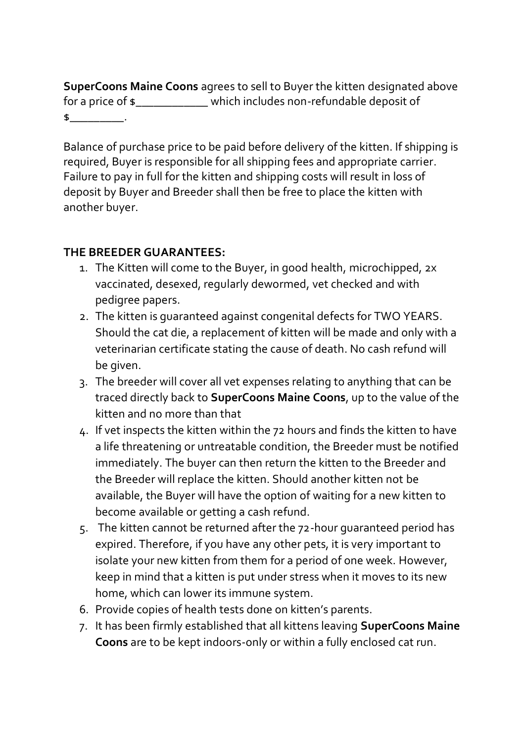**SuperCoons Maine Coons** agrees to sell to Buyer the kitten designated above for a price of \$\_\_\_\_\_\_\_\_\_\_\_\_ which includes non-refundable deposit of  $\frac{1}{2}$ .

Balance of purchase price to be paid before delivery of the kitten. If shipping is required, Buyer is responsible for all shipping fees and appropriate carrier. Failure to pay in full for the kitten and shipping costs will result in loss of deposit by Buyer and Breeder shall then be free to place the kitten with another buyer.

## **THE BREEDER GUARANTEES:**

- 1. The Kitten will come to the Buyer, in good health, microchipped, 2x vaccinated, desexed, regularly dewormed, vet checked and with pedigree papers.
- 2. The kitten is guaranteed against congenital defects for TWO YEARS. Should the cat die, a replacement of kitten will be made and only with a veterinarian certificate stating the cause of death. No cash refund will be given.
- 3. The breeder will cover all vet expenses relating to anything that can be traced directly back to **SuperCoons Maine Coons**, up to the value of the kitten and no more than that
- 4. If vet inspects the kitten within the 72 hours and finds the kitten to have a life threatening or untreatable condition, the Breeder must be notified immediately. The buyer can then return the kitten to the Breeder and the Breeder will replace the kitten. Should another kitten not be available, the Buyer will have the option of waiting for a new kitten to become available or getting a cash refund.
- 5. The kitten cannot be returned after the 72-hour guaranteed period has expired. Therefore, if you have any other pets, it is very important to isolate your new kitten from them for a period of one week. However, keep in mind that a kitten is put under stress when it moves to its new home, which can lower its immune system.
- 6. Provide copies of health tests done on kitten's parents.
- 7. It has been firmly established that all kittens leaving **SuperCoons Maine Coons** are to be kept indoors-only or within a fully enclosed cat run.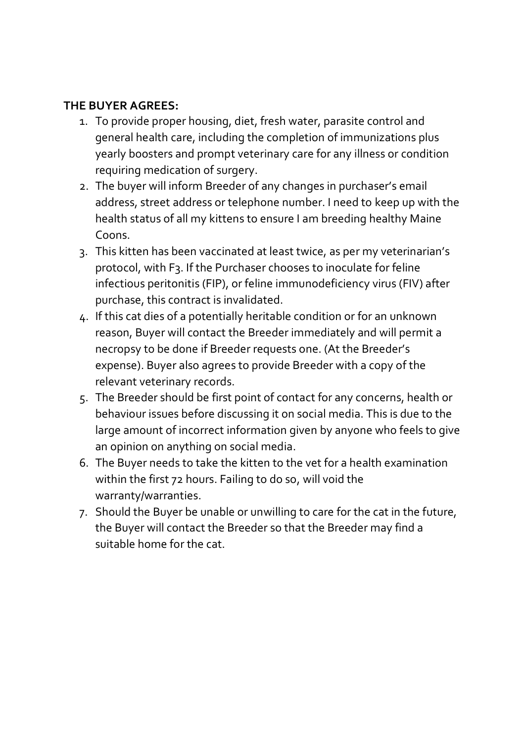## **THE BUYER AGREES:**

- 1. To provide proper housing, diet, fresh water, parasite control and general health care, including the completion of immunizations plus yearly boosters and prompt veterinary care for any illness or condition requiring medication of surgery.
- 2. The buyer will inform Breeder of any changes in purchaser's email address, street address or telephone number. I need to keep up with the health status of all my kittens to ensure I am breeding healthy Maine Coons.
- 3. This kitten has been vaccinated at least twice, as per my veterinarian's protocol, with F3. If the Purchaser chooses to inoculate for feline infectious peritonitis (FIP), or feline immunodeficiency virus (FIV) after purchase, this contract is invalidated.
- 4. If this cat dies of a potentially heritable condition or for an unknown reason, Buyer will contact the Breeder immediately and will permit a necropsy to be done if Breeder requests one. (At the Breeder's expense). Buyer also agrees to provide Breeder with a copy of the relevant veterinary records.
- 5. The Breeder should be first point of contact for any concerns, health or behaviour issues before discussing it on social media. This is due to the large amount of incorrect information given by anyone who feels to give an opinion on anything on social media.
- 6. The Buyer needs to take the kitten to the vet for a health examination within the first 72 hours. Failing to do so, will void the warranty/warranties.
- 7. Should the Buyer be unable or unwilling to care for the cat in the future, the Buyer will contact the Breeder so that the Breeder may find a suitable home for the cat.